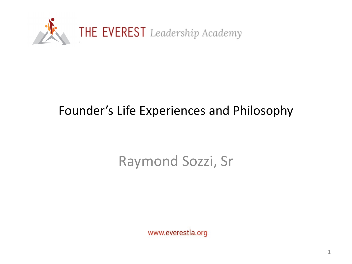

#### Founder's Life Experiences and Philosophy

### Raymond Sozzi, Sr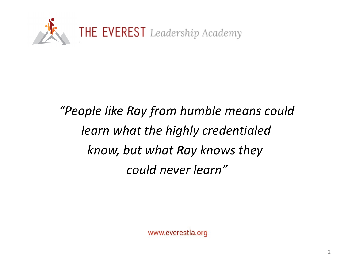

## *"People like Ray from humble means could learn what the highly credentialed know, but what Ray knows they could never learn"*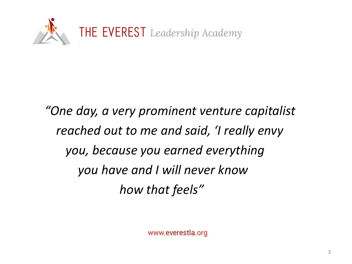

*"One day, a very prominent venture capitalist reached out to me and said, 'I really envy you, because you earned everything you have and I will never know how that feels"*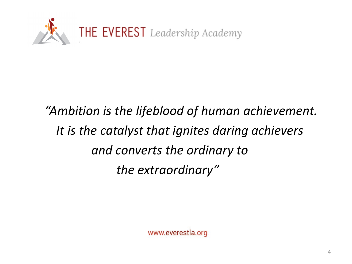

# *"Ambition is the lifeblood of human achievement. It is the catalyst that ignites daring achievers and converts the ordinary to the extraordinary"*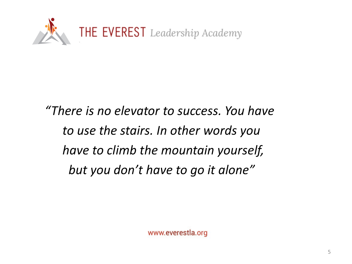

*"There is no elevator to success. You have to use the stairs. In other words you have to climb the mountain yourself, but you don't have to go it alone"*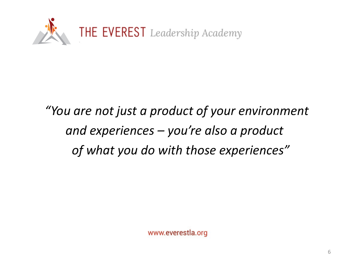

## *"You are not just a product of your environment and experiences – you're also a product of what you do with those experiences"*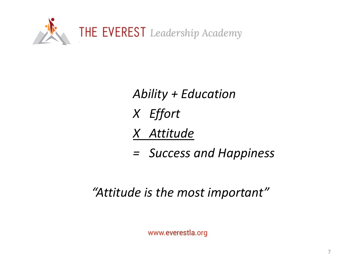

*Ability + Education X Effort X Attitude*

*= Success and Happiness*

#### *"Attitude is the most important"*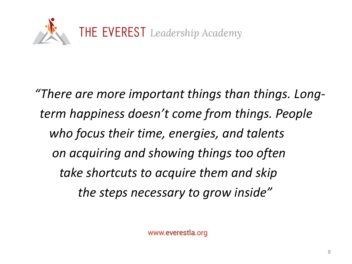

*"There are more important things than things. Longterm happiness doesn't come from things. People who focus their time, energies, and talents on acquiring and showing things too often take shortcuts to acquire them and skip the steps necessary to grow inside"*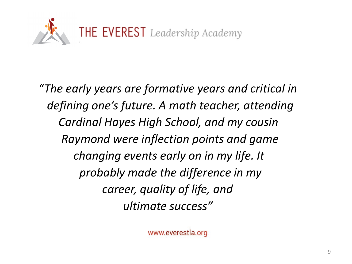

*"The early years are formative years and critical in defining one's future. A math teacher, attending Cardinal Hayes High School, and my cousin Raymond were inflection points and game changing events early on in my life. It probably made the difference in my career, quality of life, and ultimate success"*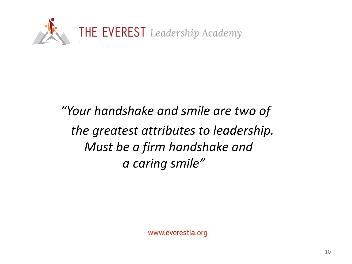

### *"Your handshake and smile are two of the greatest attributes to leadership. Must be a firm handshake and a caring smile"*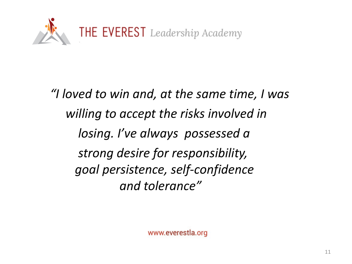

*"I loved to win and, at the same time, I was willing to accept the risks involved in losing. I've always possessed a strong desire for responsibility, goal persistence, self-confidence and tolerance"*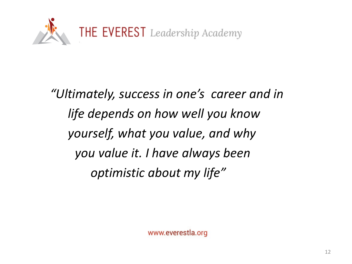

*"Ultimately, success in one's career and in life depends on how well you know yourself, what you value, and why you value it. I have always been optimistic about my life"*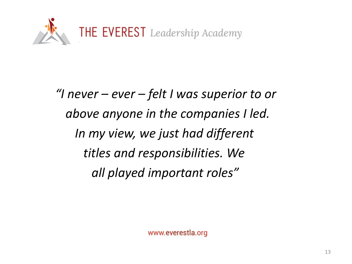

*"I never – ever – felt I was superior to or above anyone in the companies I led. In my view, we just had different titles and responsibilities. We all played important roles"*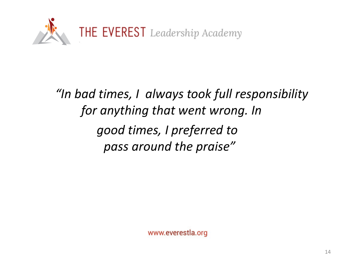

*"In bad times, I always took full responsibility for anything that went wrong. In good times, I preferred to pass around the praise"*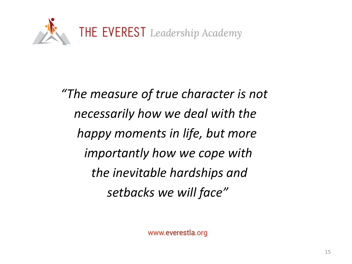

*"The measure of true character is not necessarily how we deal with the happy moments in life, but more importantly how we cope with the inevitable hardships and setbacks we will face"*